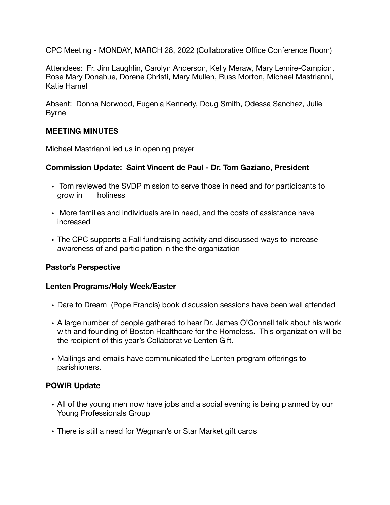CPC Meeting - MONDAY, MARCH 28, 2022 (Collaborative Office Conference Room)

Attendees: Fr. Jim Laughlin, Carolyn Anderson, Kelly Meraw, Mary Lemire-Campion, Rose Mary Donahue, Dorene Christi, Mary Mullen, Russ Morton, Michael Mastrianni, Katie Hamel

Absent: Donna Norwood, Eugenia Kennedy, Doug Smith, Odessa Sanchez, Julie Byrne

### **MEETING MINUTES**

Michael Mastrianni led us in opening prayer

### **Commission Update: Saint Vincent de Paul - Dr. Tom Gaziano, President**

- Tom reviewed the SVDP mission to serve those in need and for participants to grow in holiness
- More families and individuals are in need, and the costs of assistance have increased
- The CPC supports a Fall fundraising activity and discussed ways to increase awareness of and participation in the the organization

### **Pastor's Perspective**

### **Lenten Programs/Holy Week/Easter**

- **•** Dare to Dream (Pope Francis) book discussion sessions have been well attended
- **•** A large number of people gathered to hear Dr. James O'Connell talk about his work with and founding of Boston Healthcare for the Homeless. This organization will be the recipient of this year's Collaborative Lenten Gift.
- **•** Mailings and emails have communicated the Lenten program offerings to parishioners.

# **POWIR Update**

- All of the young men now have jobs and a social evening is being planned by our Young Professionals Group
- There is still a need for Wegman's or Star Market gift cards